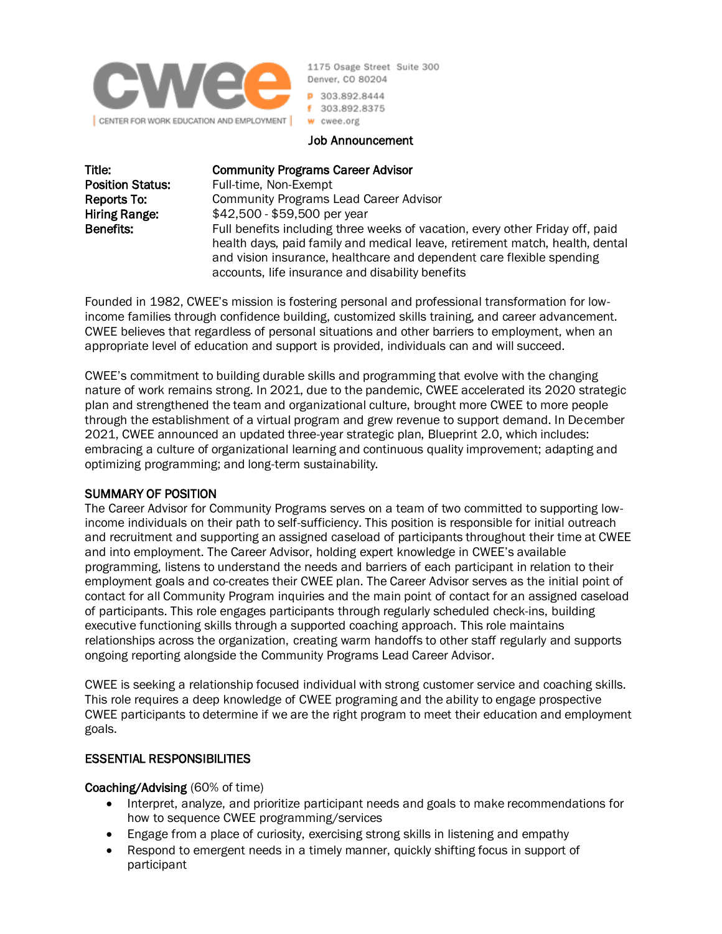

1175 Osage Street Suite 300 Denver, CO 80204

P 303.892.8444 f 303.892.8375 w cwee.org

#### Job Announcement

Title: Community Programs Career Advisor

Position Status: Full-time, Non-Exempt Reports To: Community Programs Lead Career Advisor Hiring Range:  $$42,500 - $59,500$  per year Benefits: Full benefits including three weeks of vacation, every other Friday off, paid health days, paid family and medical leave, retirement match, health, dental and vision insurance, healthcare and dependent care flexible spending accounts, life insurance and disability benefits

Founded in 1982, CWEE's mission is fostering personal and professional transformation for lowincome families through confidence building, customized skills training, and career advancement. CWEE believes that regardless of personal situations and other barriers to employment, when an appropriate level of education and support is provided, individuals can and will succeed.

CWEE's commitment to building durable skills and programming that evolve with the changing nature of work remains strong. In 2021, due to the pandemic, CWEE accelerated its 2020 strategic plan and strengthened the team and organizational culture, brought more CWEE to more people through the establishment of a virtual program and grew revenue to support demand. In December 2021, CWEE announced an updated three-year strategic plan, Blueprint 2.0, which includes: embracing a culture of organizational learning and continuous quality improvement; adapting and optimizing programming; and long-term sustainability.

## SUMMARY OF POSITION

The Career Advisor for Community Programs serves on a team of two committed to supporting lowincome individuals on their path to self-sufficiency. This position is responsible for initial outreach and recruitment and supporting an assigned caseload of participants throughout their time at CWEE and into employment. The Career Advisor, holding expert knowledge in CWEE's available programming, listens to understand the needs and barriers of each participant in relation to their employment goals and co-creates their CWEE plan. The Career Advisor serves as the initial point of contact for all Community Program inquiries and the main point of contact for an assigned caseload of participants. This role engages participants through regularly scheduled check-ins, building executive functioning skills through a supported coaching approach. This role maintains relationships across the organization, creating warm handoffs to other staff regularly and supports ongoing reporting alongside the Community Programs Lead Career Advisor.

CWEE is seeking a relationship focused individual with strong customer service and coaching skills. This role requires a deep knowledge of CWEE programing and the ability to engage prospective CWEE participants to determine if we are the right program to meet their education and employment goals.

## ESSENTIAL RESPONSIBILITIES

#### Coaching/Advising (60% of time)

- Interpret, analyze, and prioritize participant needs and goals to make recommendations for how to sequence CWEE programming/services
- Engage from a place of curiosity, exercising strong skills in listening and empathy
- Respond to emergent needs in a timely manner, quickly shifting focus in support of participant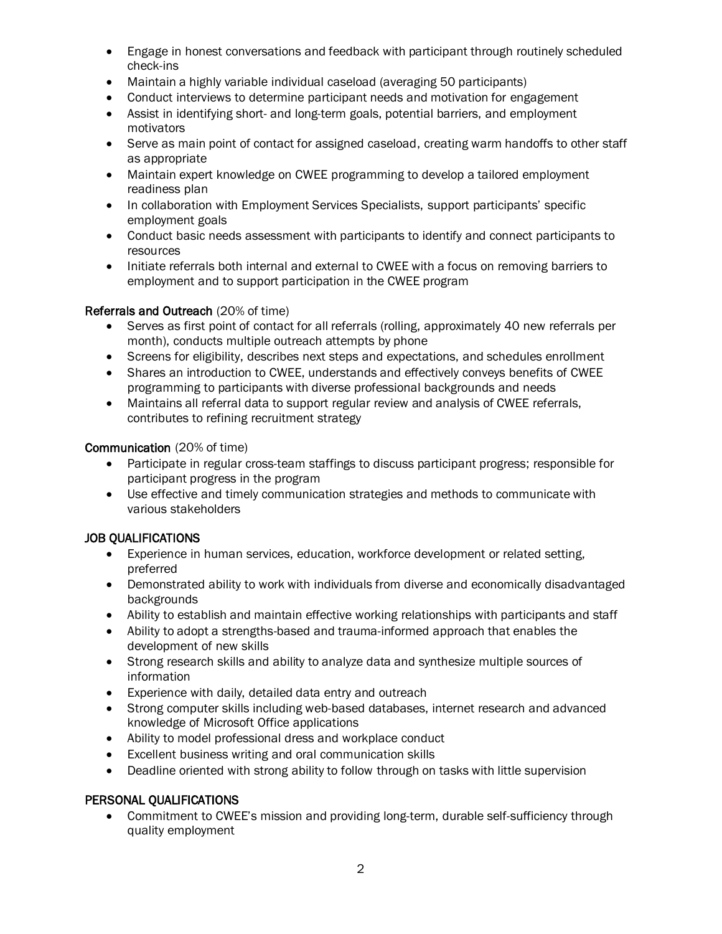- Engage in honest conversations and feedback with participant through routinely scheduled check-ins
- Maintain a highly variable individual caseload (averaging 50 participants)
- Conduct interviews to determine participant needs and motivation for engagement
- Assist in identifying short- and long-term goals, potential barriers, and employment motivators
- Serve as main point of contact for assigned caseload, creating warm handoffs to other staff as appropriate
- Maintain expert knowledge on CWEE programming to develop a tailored employment readiness plan
- In collaboration with Employment Services Specialists, support participants' specific employment goals
- Conduct basic needs assessment with participants to identify and connect participants to resources
- Initiate referrals both internal and external to CWEE with a focus on removing barriers to employment and to support participation in the CWEE program

## Referrals and Outreach (20% of time)

- Serves as first point of contact for all referrals (rolling, approximately 40 new referrals per month), conducts multiple outreach attempts by phone
- Screens for eligibility, describes next steps and expectations, and schedules enrollment
- Shares an introduction to CWEE, understands and effectively conveys benefits of CWEE programming to participants with diverse professional backgrounds and needs
- Maintains all referral data to support regular review and analysis of CWEE referrals, contributes to refining recruitment strategy

#### Communication (20% of time)

- Participate in regular cross-team staffings to discuss participant progress; responsible for participant progress in the program
- Use effective and timely communication strategies and methods to communicate with various stakeholders

## JOB QUALIFICATIONS

- Experience in human services, education, workforce development or related setting. preferred
- Demonstrated ability to work with individuals from diverse and economically disadvantaged backgrounds
- Ability to establish and maintain effective working relationships with participants and staff
- Ability to adopt a strengths-based and trauma-informed approach that enables the development of new skills
- Strong research skills and ability to analyze data and synthesize multiple sources of information
- Experience with daily, detailed data entry and outreach
- Strong computer skills including web-based databases, internet research and advanced knowledge of Microsoft Office applications
- Ability to model professional dress and workplace conduct
- Excellent business writing and oral communication skills
- Deadline oriented with strong ability to follow through on tasks with little supervision

#### PERSONAL QUALIFICATIONS

• Commitment to CWEE's mission and providing long-term, durable self-sufficiency through quality employment